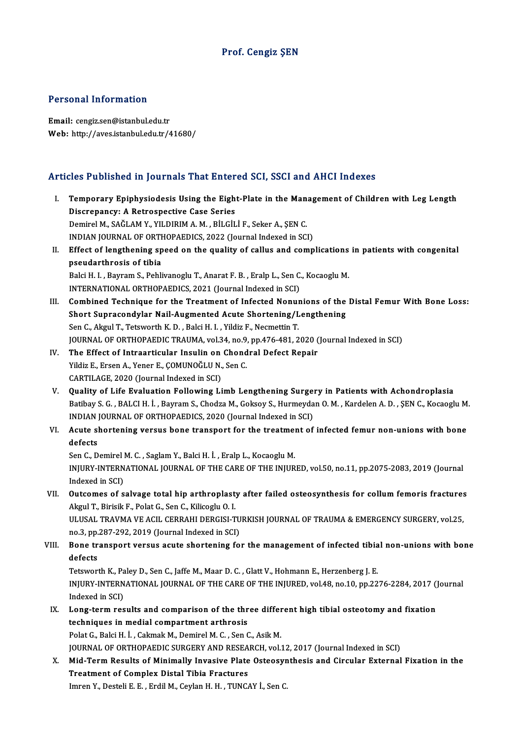### Prof. Cengiz ŞEN

#### Personal Information

Email: cengiz.sen@istanbul.edu.tr Web: http://aves.istanbul.edu.tr/41680/

#### Articles Published in Journals That Entered SCI, SSCI and AHCI Indexes

rticles Published in Journals That Entered SCI, SSCI and AHCI Indexes<br>I. Temporary Epiphysiodesis Using the Eight-Plate in the Management of Children with Leg Length<br>Discrepancy: A Petrepactive Case Series Temporary Epiphysiodesis Using the Eigh<br>Discrepancy: A Retrospective Case Series<br>Dominal M, SAČI AM V, VII DIBIM A M, PH CH Discrepancy: A Retrospective Case Series<br>Demirel M., SAĞLAM Y., YILDIRIM A.M., BİLGİLİ F., Seker A., ŞEN C. Discrepancy: A Retrospective Case Series<br>Demirel M., SAĞLAM Y., YILDIRIM A. M. , BİLGİLİ F., Seker A., ŞEN C.<br>INDIAN JOURNAL OF ORTHOPAEDICS, 2022 (Journal Indexed in SCI)<br>Effect of langthoning spood on the suality of sall Demirel M., SAĞLAM Y., YILDIRIM A. M. , BİLGİLİ F., Seker A., ŞEN C.<br>INDIAN JOURNAL OF ORTHOPAEDICS, 2022 (Journal Indexed in SCI)<br>II. Effect of lengthening speed on the quality of callus and complications in patients with **INDIAN JOURNAL OF ORTH**<br>Effect of lengthening sp<br>pseudarthrosis of tibia<br>Polsi H. L. Bayram S. Bobli Effect of lengthening speed on the quality of callus and complications<br>pseudarthrosis of tibia<br>Balci H. I. , Bayram S., Pehlivanoglu T., Anarat F. B. , Eralp L., Sen C., Kocaoglu M.<br>INTERNATIONAL OPTHORAEDICS 2021 (Journal pseudarthrosis of tibia<br>Balci H. I. , Bayram S., Pehlivanoglu T., Anarat F. B. , Eralp L., Sen C., Kocaoglu M.<br>INTERNATIONAL ORTHOPAEDICS, 2021 (Journal Indexed in SCI) Balci H. I. , Bayram S., Pehlivanoglu T., Anarat F. B. , Eralp L., Sen C., Kocaoglu M.<br>INTERNATIONAL ORTHOPAEDICS, 2021 (Journal Indexed in SCI)<br>III. Combined Technique for the Treatment of Infected Nonunions of the Distal INTERNATIONAL ORTHOPAEDICS, 2021 (Journal Indexed in SCI)<br>Combined Technique for the Treatment of Infected Nonunions of the<br>Short Supracondylar Nail-Augmented Acute Shortening/Lengthening<br>Son G. Alvul T. Tetrusath K.D., Bo Combined Technique for the Treatment of Infected Nonum<br>Short Supracondylar Nail-Augmented Acute Shortening/L<br>Sen C., Akgul T., Tetsworth K. D. , Balci H. I. , Yildiz F., Necmettin T.<br>JOUPNAL OF OPTHOPAEDIC TRAUMA .vol 34, Short Supracondylar Nail-Augmented Acute Shortening/Lengthening<br>Sen C., Akgul T., Tetsworth K. D. , Balci H. I. , Yildiz F., Necmettin T.<br>JOURNAL OF ORTHOPAEDIC TRAUMA, vol.34, no.9, pp.476-481, 2020 (Journal Indexed in SC Sen C., Akgul T., Tetsworth K. D., Balci H. I., Yildiz F., Necmettin T.<br>JOURNAL OF ORTHOPAEDIC TRAUMA, vol.34, no.9, pp.476-481, 2020 (<br>IV. The Effect of Intraarticular Insulin on Chondral Defect Repair<br>Vildiz F. Erson A. JOURNAL OF ORTHOPAEDIC TRAUMA, vol.34, no.9<br>The Effect of Intraarticular Insulin on Chond<br>Yildiz E., Ersen A., Yener E., ÇOMUNOĞLU N., Sen C.<br>CARTU ACE 2020 (Journal Indoved in SCD. The Effect of Intraarticular Insulin on<br>Yildiz E., Ersen A., Yener E., ÇOMUNOĞLU N.,<br>CARTILAGE, 2020 (Journal Indexed in SCI)<br>Quality of Life Evaluation Following Li Yildiz E., Ersen A., Yener E., ÇOMUNOĞLU N., Sen C.<br>CARTILAGE, 2020 (Journal Indexed in SCI)<br>V. Quality of Life Evaluation Following Limb Lengthening Surgery in Patients with Achondroplasia Batibay S. G., BALCIH. İ., Bayram S., Chodza M., Goksoy S., Hurmeydan O. M., Kardelen A. D., ŞEN C., Kocaoglu M. Quality of Life Evaluation Following Limb Lengthening Surger<br>Batibay S. G. , BALCI H. İ. , Bayram S., Chodza M., Goksoy S., Hurmeyda<br>INDIAN JOURNAL OF ORTHOPAEDICS, 2020 (Journal Indexed in SCI)<br>Agute shortoning versus bon VI. Acute shortening versus bone transport for the treatment of infected femur non-unions with bone INDIAN<br>**Acute s**<br>defects<br>Sep C D Acute shortening versus bone transport for the treatmen<br>defects<br>Sen C., Demirel M. C. , Saglam Y., Balci H. İ. , Eralp L., Kocaoglu M.<br>INIUPY INTERNATIONAL JOURNAL OF THE CARE OF THE INIUP defects<br>Sen C., Demirel M. C. , Saglam Y., Balci H. İ. , Eralp L., Kocaoglu M.<br>INJURY-INTERNATIONAL JOURNAL OF THE CARE OF THE INJURED, vol.50, no.11, pp.2075-2083, 2019 (Journal<br>Indoved in SCL) Sen C., Demirel<br>INJURY-INTERN<br>Indexed in SCI)<br>Outsomes of s INJURY-INTERNATIONAL JOURNAL OF THE CARE OF THE INJURED, vol.50, no.11, pp.2075-2083, 2019 (Journal<br>Indexed in SCI)<br>VII. Outcomes of salvage total hip arthroplasty after failed osteosynthesis for collum femoris fractures<br>A Indexed in SCI)<br>Outcomes of salvage total hip arthroplast<br>Akgul T., Birisik F., Polat G., Sen C., Kilicoglu O. I.<br>ULUSAL TRAVMA VE ACU, CERRAHI DERCISLT Outcomes of salvage total hip arthroplasty after failed osteosynthesis for collum femoris fractures<br>Akgul T., Birisik F., Polat G., Sen C., Kilicoglu O. I.<br>ULUSAL TRAVMA VE ACIL CERRAHI DERGISI-TURKISH JOURNAL OF TRAUMA & Akgul T., Birisik F., Polat G., Sen C., Kilicoglu O. I.<br>ULUSAL TRAVMA VE ACIL CERRAHI DERGISI-TURKISH JOURNAL OF TRAUMA & EMERGENCY SURGERY, vol.25, VIII. Bone transport versus acute shortening for the management of infected tibial non-unions with bone defects no.3, pp.287-292, 2019 (Journal Indexed in SCI) Bone transport versus acute shortening for the management of infected tibia<br>defects<br>Tetsworth K., Paley D., Sen C., Jaffe M., Maar D. C. , Glatt V., Hohmann E., Herzenberg J. E.<br>INUIDY INTERNATIONAL JOUDNAL OF THE CARE OF defects<br>Tetsworth K., Paley D., Sen C., Jaffe M., Maar D. C. , Glatt V., Hohmann E., Herzenberg J. E.<br>INJURY-INTERNATIONAL JOURNAL OF THE CARE OF THE INJURED, vol.48, no.10, pp.2276-2284, 2017 (Journal<br>Indoved in SCD Tetsworth K., Pa<br>INJURY-INTERN<br>Indexed in SCI)<br>Long term res INJURY-INTERNATIONAL JOURNAL OF THE CARE OF THE INJURED, vol.48, no.10, pp.2276-2284, 2017 ()<br>Indexed in SCI)<br>IX. Long-term results and comparison of the three different high tibial osteotomy and fixation<br>techniques in mod Indexed in SCI)<br>IX. Long-term results and comparison of the three different high tibial osteotomy and fixation<br>techniques in medial compartment arthrosis Polat G., Balci H. İ., Cakmak M., Demirel M. C., Sen C., Asik M. techniques in medial compartment arthrosis<br>Polat G., Balci H. İ. , Cakmak M., Demirel M. C. , Sen C., Asik M.<br>JOURNAL OF ORTHOPAEDIC SURGERY AND RESEARCH, vol.12, 2017 (Journal Indexed in SCI)<br>Mid Term Besults of Minimally Polat G., Balci H. İ. , Cakmak M., Demirel M. C. , Sen C., Asik M.<br>JOURNAL OF ORTHOPAEDIC SURGERY AND RESEARCH, vol.12, 2017 (Journal Indexed in SCI)<br>X. Mid-Term Results of Minimally Invasive Plate Osteosynthesis and Circu JOURNAL OF ORTHOPAEDIC SURGERY AND RESEA<br>Mid-Term Results of Minimally Invasive Plate<br>Treatment of Complex Distal Tibia Fractures<br>Impan V. Desteli E. E. Endil M. Ceylan H. H. TINCA Mid-Term Results of Minimally Invasive Plate Osteosyr<br>Treatment of Complex Distal Tibia Fractures<br>Imren Y., Desteli E. E. , Erdil M., Ceylan H. H. , TUNCAY İ., Sen C.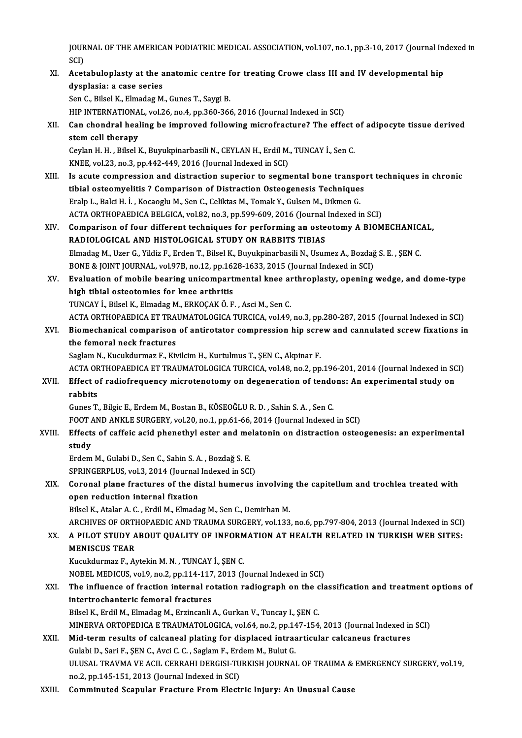JOURNAL OF THE AMERICAN PODIATRIC MEDICAL ASSOCIATION, vol.107, no.1, pp.3-10, 2017 (Journal Indexed in<br>SCD JOUR<br>SCI)<br>Aset JOURNAL OF THE AMERICAN PODIATRIC MEDICAL ASSOCIATION, vol.107, no.1, pp.3-10, 2017 (Journal Ine<br>SCI)<br>XI. Acetabuloplasty at the anatomic centre for treating Crowe class III and IV developmental hip<br>dyaplasia: a gase serie

## SCI)<br>XI. Acetabuloplasty at the anatomic centre for treating Crowe class III and IV developmental hip<br>dysplasia: a case series

Sen C., Bilsel K., Elmadag M., Gunes T., Saygi B.

HIP INTERNATIONAL, vol.26, no.4, pp.360-366, 2016 (Journal Indexed in SCI)

Sen C., Bilsel K., Elmadag M., Gunes T., Saygi B.<br>HIP INTERNATIONAL, vol.26, no.4, pp.360-366, 2016 (Journal Indexed in SCI)<br>XII. Can chondral healing be improved following microfracture? The effect of adipocyte tissue HIP INTERNATIONA<br>Can chondral heal<br>stem cell therapy<br>Caylan H, H, Bilcal L Can chondral healing be improved following microfracture? The effect<br>stem cell therapy<br>Ceylan H. H. , Bilsel K., Buyukpinarbasili N., CEYLAN H., Erdil M., TUNCAY İ., Sen C.<br>KNEE vol 33, no.3, np.443,449,3016 (Journal Indov

stem cell therapy<br>Ceylan H. H. , Bilsel K., Buyukpinarbasili N., CEYLAN H., Erdil M., TUNCAY İ., Sen C.<br>KNEE, vol.23, no.3, pp.442-449, 2016 (Journal Indexed in SCI) Ceylan H. H. , Bilsel K., Buyukpinarbasili N., CEYLAN H., Erdil M., TUNCAY İ., Sen C.<br>KNEE, vol.23, no.3, pp.442-449, 2016 (Journal Indexed in SCI)<br>XIII. Is acute compression and distraction superior to segmental bone tran

- KNEE, vol.23, no.3, pp.442-449, 2016 (Journal Indexed in SCI)<br>Is acute compression and distraction superior to segmental bone transpo<br>tibial osteomyelitis ? Comparison of Distraction Osteogenesis Techniques<br>Enalp L. Boki H tibial osteomyelitis ? Comparison of Distraction Osteogenesis Techniques<br>Eralp L., Balci H. İ., Kocaoglu M., Sen C., Celiktas M., Tomak Y., Gulsen M., Dikmen G. tibial osteomyelitis ? Comparison of Distraction Osteogenesis Techniques<br>Eralp L., Balci H. İ. , Kocaoglu M., Sen C., Celiktas M., Tomak Y., Gulsen M., Dikmen G.<br>ACTA ORTHOPAEDICA BELGICA, vol.82, no.3, pp.599-609, 2016 (J Eralp L., Balci H. İ. , Kocaoglu M., Sen C., Celiktas M., Tomak Y., Gulsen M., Dikmen G.<br>ACTA ORTHOPAEDICA BELGICA, vol.82, no.3, pp.599-609, 2016 (Journal Indexed in SCI)<br>XIV. Comparison of four different techniques for p
- ACTA ORTHOPAEDICA BELGICA, vol.82, no.3, pp.599-609, 2016 (Journal<br>Comparison of four different techniques for performing an oste<br>RADIOLOGICAL AND HISTOLOGICAL STUDY ON RABBITS TIBIAS<br>Finades M. Hzer C. Vildig E. Enden T. Comparison of four different techniques for performing an osteotomy A BIOMECHANIC.<br>RADIOLOGICAL AND HISTOLOGICAL STUDY ON RABBITS TIBIAS<br>Elmadag M., Uzer G., Yildiz F., Erden T., Bilsel K., Buyukpinarbasili N., Usumez A., RADIOLOGICAL AND HISTOLOGICAL STUDY ON RABBITS TIBIAS<br>Elmadag M., Uzer G., Yildiz F., Erden T., Bilsel K., Buyukpinarbasili N., Usumez A., Bozdağ S. E. , ŞEN C.<br>BONE & JOINT JOURNAL, vol.97B, no.12, pp.1628-1633, 2015 (Jou Elmadag M., Uzer G., Yildiz F., Erden T., Bilsel K., Buyukpinarbasili N., Usumez A., Bozdağ S. E. , ŞEN C.<br>BONE & JOINT JOURNAL, vol.97B, no.12, pp.1628-1633, 2015 (Journal Indexed in SCI)<br>XV. Evaluation of mobile bearing
- BONE & JOINT JOURNAL, vol.97B, no.12, pp.162<br>Evaluation of mobile bearing unicompart<br>high tibial osteotomies for knee arthritis<br>TUNGAY i. Bilaal K. Elmadag M. EPKOGAK Ö. E Evaluation of mobile bearing unicompartmental knee an<br>high tibial osteotomies for knee arthritis<br>TUNCAY İ., Bilsel K., Elmadag M., ERKOÇAK Ö. F. , Asci M., Sen C.<br>ACTA OPTHOPAEDICA ET TRAUMATOLOCICA TUPCICA vel 49 high tibial osteotomies for knee arthritis<br>TUNCAY İ., Bilsel K., Elmadag M., ERKOÇAK Ö. F. , Asci M., Sen C.<br>ACTA ORTHOPAEDICA ET TRAUMATOLOGICA TURCICA, vol.49, no.3, pp.280-287, 2015 (Journal Indexed in SCI)

TUNCAY İ., Bilsel K., Elmadag M., ERKOÇAK Ö. F. , Asci M., Sen C.<br>ACTA ORTHOPAEDICA ET TRAUMATOLOGICA TURCICA, vol.49, no.3, pp.280-287, 2015 (Journal Indexed in SCI)<br>XVI. Biomechanical comparison of antirotator compressio ACTA ORTHOPAEDICA ET TRA<br>Biomechanical comparison<br>the femoral neck fractures<br>Saglam N. Kusukdurmag E. Ku Biomechanical comparison of antirotator compression hip scre<br>the femoral neck fractures<br>Saglam N., Kucukdurmaz F., Kivilcim H., Kurtulmus T., ŞEN C., Akpinar F.<br>ACTA OPTHORAEDICA ET TRAJIMATOLOCICA TURCICA .vol.48, no.3, n

the femoral neck fractures<br>Saglam N., Kucukdurmaz F., Kivilcim H., Kurtulmus T., ŞEN C., Akpinar F.<br>ACTA ORTHOPAEDICA ET TRAUMATOLOGICA TURCICA, vol.48, no.2, pp.196-201, 2014 (Journal Indexed in SCI)

## Saglam N., Kucukdurmaz F., Kivilcim H., Kurtulmus T., ŞEN C., Akpinar F.<br>ACTA ORTHOPAEDICA ET TRAUMATOLOGICA TURCICA, vol.48, no.2, pp.196-201, 2014 (Journal Indexed in SC<br>XVII. Effect of radiofrequency microtenotomy on de ACTA OF<br><mark>Effect o</mark><br>rabbits<br><sup>Cunes T</sup> Effect of radiofrequency microtenotomy on degeneration of tendo<br>rabbits<br>Gunes T., Bilgic E., Erdem M., Bostan B., KÖSEOĞLU R. D. , Sahin S. A. , Sen C.<br>FOOT AND ANKLE SUBCERY, val.30, no.1, nn.61, 66, 2014 (Journal Indoved rabbits<br>Gunes T., Bilgic E., Erdem M., Bostan B., KÖSEOĞLU R. D. , Sahin S. A. , Sen C.<br>FOOT AND ANKLE SURGERY, vol.20, no.1, pp.61-66, 2014 (Journal Indexed in SCI)<br>Effects of saffais asid phanathyl satar and malatanin on

Gunes T., Bilgic E., Erdem M., Bostan B., KÖSEOĞLU R. D. , Sahin S. A. , Sen C.<br>FOOT AND ANKLE SURGERY, vol.20, no.1, pp.61-66, 2014 (Journal Indexed in SCI)<br>XVIII. Effects of caffeic acid phenethyl ester and melatonin on FOOT /<br>Effect:<br>study<br>Erdem Effects of caffeic acid phenethyl ester and me<br>study<br>Erdem M., Gulabi D., Sen C., Sahin S. A. , Bozdağ S. E.<br>SPRINCERRLUS .vol 2, 2014 (Jaurnal Indoved in SCI

study<br>Erdem M., Gulabi D., Sen C., Sahin S. A. , Bozdağ S. E.<br>SPRINGERPLUS, vol.3, 2014 (Journal Indexed in SCI)

## Erdem M., Gulabi D., Sen C., Sahin S. A. , Bozdağ S. E.<br>SPRINGERPLUS, vol.3, 2014 (Journal Indexed in SCI)<br>XIX. Coronal plane fractures of the distal humerus involving the capitellum and trochlea treated with<br>anon reductio SPRINGERPLUS, vol.3, 2014 (Journal<br>Coronal plane fractures of the di<br>open reduction internal fixation<br>Bileel K. Atalan A. G. Endil M. Elmode Coronal plane fractures of the distal humerus involving<br>open reduction internal fixation<br>Bilsel K., Atalar A. C. , Erdil M., Elmadag M., Sen C., Demirhan M.<br>ARCHIVES OF ORTHORAEDIC AND TRAUMA SURCERY vol.122

open reduction internal fixation<br>Bilsel K., Atalar A. C. , Erdil M., Elmadag M., Sen C., Demirhan M.<br>ARCHIVES OF ORTHOPAEDIC AND TRAUMA SURGERY, vol.133, no.6, pp.797-804, 2013 (Journal Indexed in SCI)

## Bilsel K., Atalar A. C. , Erdil M., Elmadag M., Sen C., Demirhan M.<br>ARCHIVES OF ORTHOPAEDIC AND TRAUMA SURGERY, vol.133, no.6, pp.797-804, 2013 (Journal Indexed in SCI)<br>XX. A PILOT STUDY ABOUT QUALITY OF INFORMATION AT ARCHIVES OF ORTH<br>A PILOT STUDY A<br>MENISCUS TEAR<br>Kusukdurmar E Al A PILOT STUDY ABOUT QUALITY OF INFORM<br>MENISCUS TEAR<br>Kucukdurmaz F., Aytekin M. N. , TUNCAY İ., ŞEN C.<br>NOBEL MEDICUS val 9 no 3 nn 114 117 2012 (L MENISCUS TEAR<br>Kucukdurmaz F., Aytekin M. N. , TUNCAY İ., ŞEN C.<br>NOBEL MEDICUS, vol.9, no.2, pp.114-117, 2013 (Journal Indexed in SCI)<br>The influence of frection internal retation rediograph on the cla

## Kucukdurmaz F., Aytekin M. N. , TUNCAY İ., ŞEN C.<br>NOBEL MEDICUS, vol.9, no.2, pp.114-117, 2013 (Journal Indexed in SCI)<br>XXI. The influence of fraction internal rotation radiograph on the classification and treatment op NOBEL MEDICUS, vol.9, no.2, pp.114-117<br>The influence of fraction internal ro<br>intertrochanteric femoral fractures<br>Pileal K. Erdil M. Elmadas M. Exsineenli The influence of fraction internal rotation radiograph on the c<br>intertrochanteric femoral fractures<br>Bilsel K., Erdil M., Elmadag M., Erzincanli A., Gurkan V., Tuncay I., ŞEN C.<br>MINERVA OPTOPEDICA E TRAUMATOLOCICA .val 64, intertrochanteric femoral fractures<br>Bilsel K., Erdil M., Elmadag M., Erzincanli A., Gurkan V., Tuncay I., ŞEN C.<br>MINERVA ORTOPEDICA E TRAUMATOLOGICA, vol.64, no.2, pp.147-154, 2013 (Journal Indexed in SCI)<br>Mid. term. resul

Bilsel K., Erdil M., Elmadag M., Erzincanli A., Gurkan V., Tuncay I., ŞEN C.<br>MINERVA ORTOPEDICA E TRAUMATOLOGICA, vol.64, no.2, pp.147-154, 2013 (Journal Indexed in<br>XXII. Mid-term results of calcaneal plating for displaced

MINERVA ORTOPEDICA E TRAUMATOLOGICA, vol.64, no.2, pp.14<br>Mid-term results of calcaneal plating for displaced intraa<br>Gulabi D., Sari F., ŞEN C., Avci C. C. , Saglam F., Erdem M., Bulut G.<br>ULUSAL TRAVMA VE ACU, CERRAHI DERCI ULUSAL TRAVMA VE ACIL CERRAHI DERGISI-TURKISH JOURNAL OF TRAUMA & EMERGENCY SURGERY, vol.19,<br>no.2, pp.145-151, 2013 (Journal Indexed in SCI) Gulabi D., Sari F., SEN C., Avci C. C., Saglam F., Erdem M., Bulut G.

XXIII. Comminuted Scapular Fracture From Electric Injury: An Unusual Cause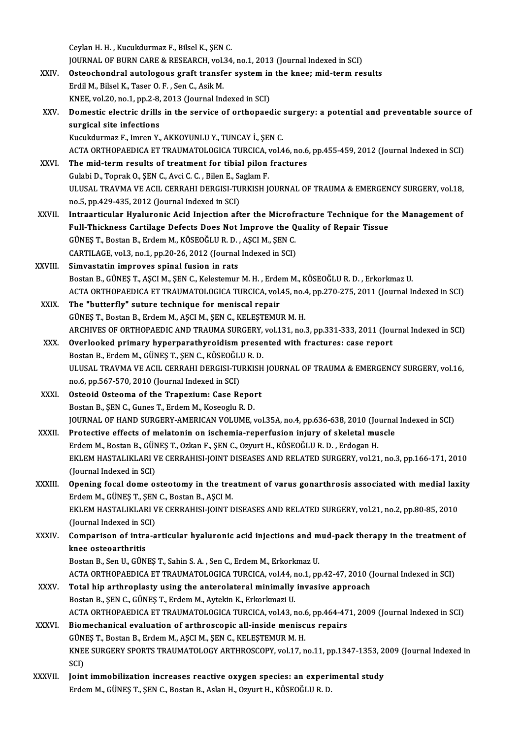Ceylan H.H., Kucukdurmaz F., Bilsel K., ŞEN C.

Ceylan H. H. , Kucukdurmaz F., Bilsel K., ŞEN C.<br>JOURNAL OF BURN CARE & RESEARCH, vol.34, no.1, 2013 (Journal Indexed in SCI)<br>Ostaoshandral autalogaus graft transfor system in the knos: mid term res

- Ceylan H. H. , Kucukdurmaz F., Bilsel K., ŞEN C.<br>JOURNAL OF BURN CARE & RESEARCH, vol.34, no.1, 2013 (Journal Indexed in SCI)<br>XXIV. Osteochondral autologous graft transfer system in the knee; mid-term results JOURNAL OF BURN CARE & RESEARCH, vol.<br>Osteochondral autologous graft transf<br>Erdil M., Bilsel K., Taser O. F. , Sen C., Asik M.<br>KNEE vol.20, no.1, nn.2, 9, 2012 (Journal Inc Osteochondral autologous graft transfer system in<br>Erdil M., Bilsel K., Taser O. F. , Sen C., Asik M.<br>KNEE, vol.20, no.1, pp.2-8, 2013 (Journal Indexed in SCI)<br>Domestic electric drills in the service of orthonogo Erdil M., Bilsel K., Taser O. F. , Sen C., Asik M.<br>KNEE, vol.20, no.1, pp.2-8, 2013 (Journal Indexed in SCI)<br>XXV. Domestic electric drills in the service of orthopaedic surgery: a potential and preventable source of<br>curgic
- KNEE, vol.20, no.1, pp.2-8,<br>Domestic electric drills<br>surgical site infections<br><sup>Kuoukdurmaz E, Imron V</sup> Domestic electric drills in the service of orthopaedic :<br>surgical site infections<br>Kucukdurmaz F., Imren Y., AKKOYUNLU Y., TUNCAY İ., ŞEN C.<br>ACTA OPTHOPAEDICA ET TRAUMATOLOCICA TURCICA YALA

surgical site infections<br>Kucukdurmaz F., Imren Y., AKKOYUNLU Y., TUNCAY İ., ŞEN C.<br>ACTA ORTHOPAEDICA ET TRAUMATOLOGICA TURCICA, vol.46, no.6, pp.455-459, 2012 (Journal Indexed in SCI)<br>The mid term results of treatment for

- Kucukdurmaz F., Imren Y., AKKOYUNLU Y., TUNCAY İ., ŞEN C.<br>ACTA ORTHOPAEDICA ET TRAUMATOLOGICA TURCICA, vol.46, no.6<br>XXVI. The mid-term results of treatment for tibial pilon fractures ACTA ORTHOPAEDICA ET TRAUMATOLOGICA TURCICA,<br>The mid-term results of treatment for tibial pilon<br>Gulabi D., Toprak O., ŞEN C., Avci C. C. , Bilen E., Saglam F.<br>III USAL TRAVMA VE ACU, CERRAHI DERCISI TURKISH I. XXVI. The mid-term results of treatment for tibial pilon fractures<br>Gulabi D., Toprak O., SEN C., Avci C. C. , Bilen E., Saglam F.<br>ULUSAL TRAVMA VE ACIL CERRAHI DERGISI-TURKISH JOURNAL OF TRAUMA & EMERGENCY SURGERY, vol.18, Gulabi D., Toprak O., SEN C., Avci C. C., Bilen E., Saglam F. ULUSAL TRAVMA VE ACIL CERRAHI DERGISI-TURKISH JOURNAL OF TRAUMA & EMERGENCY SURGERY, vol.18,<br>no.5, pp.429-435, 2012 (Journal Indexed in SCI)<br>XXVII. Intraarticular Hyaluronic Acid Injection after the Microfracture Technique
- no.5, pp.429-435, 2012 (Journal Indexed in SCI)<br>Intraarticular Hyaluronic Acid Injection after the Microfracture Technique for the<br>Full-Thickness Cartilage Defects Does Not Improve the Quality of Repair Tissue<br>CÜNES T. Bes Intraarticular Hyaluronic Acid Injection after the Microfi<br>Full-Thickness Cartilage Defects Does Not Improve the Q<br>GÜNEŞ T., Bostan B., Erdem M., KÖSEOĞLUR. D. , AŞCI M., ŞEN C.<br>GARTU ACE vel 3, no.1, nn.20, 26, 2012 (Jour Full-Thickness Cartilage Defects Does Not Improve the Q<br>GÜNEŞ T., Bostan B., Erdem M., KÖSEOĞLU R. D. , AŞCI M., ŞEN C.<br>CARTILAGE, vol.3, no.1, pp.20-26, 2012 (Journal Indexed in SCI)<br>Simuastatin improves apinal fusion in GÜNEŞ T., Bostan B., Erdem M., KÖSEOĞLU R. D.<br>CARTILAGE, vol.3, no.1, pp.20-26, 2012 (Journal<br>XXVIII. Simvastatin improves spinal fusion in rats<br>Pestan B. CÜNES T. ASCIM SEN G. Kelestemur
- CARTILAGE, vol.3, no.1, pp.20-26, 2012 (Journal Indexed in SCI)<br>Simvastatin improves spinal fusion in rats<br>Bostan B., GÜNEŞ T., AŞCI M., ŞEN C., Kelestemur M. H. , Erdem M., KÖSEOĞLU R. D. , Erkorkmaz U. Simvastatin improves spinal fusion in rats<br>Bostan B., GÜNEŞ T., AŞCI M., ŞEN C., Kelestemur M. H. , Erdem M., KÖSEOĞLU R. D. , Erkorkmaz U.<br>ACTA ORTHOPAEDICA ET TRAUMATOLOGICA TURCICA, vol.45, no.4, pp.270-275, 2011 (Journ Bostan B., GÜNEŞ T., AŞCI M., ŞEN C., Kelestemur M. H., Erde<br>ACTA ORTHOPAEDICA ET TRAUMATOLOGICA TURCICA, vol.<br>XXIX. The "butterfly" suture technique for meniscal repair
- ACTA ORTHOPAEDICA ET TRAUMATOLOGICA TURCICA, vol.45, no.4<br>The "butterfly" suture technique for meniscal repair<br>GÜNEŞ T., Bostan B., Erdem M., AŞCI M., ŞEN C., KELEŞTEMUR M. H.<br>ARCHIVES OF ORTHORAEDIC AND TRAHMA SURCERY vol The "butterfly" suture technique for meniscal repair<br>GÜNEŞ T., Bostan B., Erdem M., AŞCI M., ŞEN C., KELEŞTEMUR M. H.<br>ARCHIVES OF ORTHOPAEDIC AND TRAUMA SURGERY, vol.131, no.3, pp.331-333, 2011 (Journal Indexed in SCI)<br>Que GÜNEŞ T., Bostan B., Erdem M., AŞCI M., ŞEN C., KELEŞTEMUR M. H.<br>ARCHIVES OF ORTHOPAEDIC AND TRAUMA SURGERY, vol.131, no.3, pp.331-333, 2011 (Jou<br>XXX. Overlooked primary hyperparathyroidism presented with fractures: case r
- ARCHIVES OF ORTHOPAEDIC AND TRAUMA SURGERY,<br>Overlooked primary hyperparathyroidism prese:<br>Bostan B., Erdem M., GÜNEŞ T., ŞEN C., KÖSEOĞLU R. D.<br>ULUSAL TRAVMA VE ACU, GERRAHI DERCISLTURKISH Overlooked primary hyperparathyroidism presented with fractures: case report<br>Bostan B., Erdem M., GÜNEŞ T., ŞEN C., KÖSEOĞLU R. D.<br>ULUSAL TRAVMA VE ACIL CERRAHI DERGISI-TURKISH JOURNAL OF TRAUMA & EMERGENCY SURGERY, vol.16 Bostan B., Erdem M., GÜNEŞ T., ŞEN C., KÖSEOĞLU<br>ULUSAL TRAVMA VE ACIL CERRAHI DERGISI-TU<br>no.6, pp.567-570, 2010 (Journal Indexed in SCI)<br>Ostaaid Ostaarra of the Transzium: Gase Bo ULUSAL TRAVMA VE ACIL CERRAHI DERGISI-TURKISH<br>no.6, pp.567-570, 2010 (Journal Indexed in SCI)<br>XXXI. Osteoid Osteoma of the Trapezium: Case Report
- no.6, pp.567-570, 2010 (Journal Indexed in SCI)<br>Osteoid Osteoma of the Trapezium: Case Report<br>Bostan B., ŞEN C., Gunes T., Erdem M., Koseoglu R. D. Osteoid Osteoma of the Trapezium: Case Report<br>Bostan B., ŞEN C., Gunes T., Erdem M., Koseoglu R. D.<br>JOURNAL OF HAND SURGERY-AMERICAN VOLUME, vol.35A, no.4, pp.636-638, 2010 (Journal Indexed in SCI)<br>Pretestive effects of me Bostan B., ŞEN C., Gunes T., Erdem M., Koseoglu R. D.<br>JOURNAL OF HAND SURGERY-AMERICAN VOLUME, vol.35A, no.4, pp.636-638, 2010 (Journal)<br>XXXII. Protective effects of melatonin on ischemia-reperfusion injury of skeletal mus
- JOURNAL OF HAND SURGERY-AMERICAN VOLUME, vol.35A, no.4, pp.636-638, 2010 (Jo<br>Protective effects of melatonin on ischemia-reperfusion injury of skeletal mu<br>Erdem M., Bostan B., GÜNEŞ T., Ozkan F., ŞEN C., Ozyurt H., KÖSEOĞL Protective effects of melatonin on ischemia-reperfusion injury of skeletal muscle<br>Erdem M., Bostan B., GÜNEŞ T., Ozkan F., ŞEN C., Ozyurt H., KÖSEOĞLU R. D. , Erdogan H.<br>EKLEM HASTALIKLARI VE CERRAHISI-JOINT DISEASES AND R Erdem M., Bostan B., GÜN<br>EKLEM HASTALIKLARI V<br>(Journal Indexed in SCI)<br>Opening fosal dame se EKLEM HASTALIKLARI VE CERRAHISI-JOINT DISEASES AND RELATED SURGERY, vol.21, no.3, pp.166-171, 2010<br>(Journal Indexed in SCI)<br>XXXIII. Opening focal dome osteotomy in the treatment of varus gonarthrosis associated with medial
- (Journal Indexed in SCI)<br>Opening focal dome osteotomy in the treatment of varus gonarthrosis associated with medial laxity<br>Erdem M., GÜNEŞ T., ŞEN C., Bostan B., AŞCI M. Opening focal dome osteotomy in the treatment of varus gonarthrosis associated with medial lax<br>Erdem M., GÜNEŞ T., ŞEN C., Bostan B., AŞCI M.<br>EKLEM HASTALIKLARI VE CERRAHISI-JOINT DISEASES AND RELATED SURGERY, vol.21, no.2

Erdem M., GÜNEŞ T., ŞEN<br>EKLEM HASTALIKLARI V<br>(Journal Indexed in SCI)<br>Comnarison of intra a (Journal Indexed in SCI)

XXXIV. Comparison of intra-articular hyaluronic acid injections and mud-pack therapy in the treatment of<br>knee osteoarthritis knee osteoarthritis<br>Bostan B., Sen U., GÜNEŞ T., Sahin S. A. , Sen C., Erdem M., Erkorkmaz U.<br>ACTA ORTHOPAEDICA ET TRAUMATOLOGICA TURCICA, vol.44, no.1, pp.42-47, 2010 (Journal Indexed in SCI)<br>Total bin arthroplasty using

Bostan B., Sen U., GÜNEŞ T., Sahin S. A., Sen C., Erdem M., Erkorkmaz U.

Bostan B., Sen U., GÜNEŞ T., Sahin S. A., Sen C., Erdem M., Erkorkmaz U.<br>ACTA ORTHOPAEDICA ET TRAUMATOLOGICA TURCICA, vol.44, no.1, pp.42-47, 2010 (<br>XXXV. Total hip arthroplasty using the anterolateral minimally invasive a ACTA ORTHOPAEDICA ET TRAUMATOLOGICA TURCICA, vol.44, r<br>Total hip arthroplasty using the anterolateral minimally<br>Bostan B., ŞEN C., GÜNEŞ T., Erdem M., Aytekin K., Erkorkmazi U.<br>ACTA OPTHOPAEDICA ET TRAUMATOLOGICA TURCICA v Total hip arthroplasty using the anterolateral minimally invasive approach<br>Bostan B., ŞEN C., GÜNEŞ T., Erdem M., Aytekin K., Erkorkmazi U.<br>ACTA ORTHOPAEDICA ET TRAUMATOLOGICA TURCICA, vol.43, no.6, pp.464-471, 2009 (Journ Bostan B., ŞEN C., GÜNEŞ T., Erdem M., Aytekin K., Erkorkmazi U.<br>ACTA ORTHOPAEDICA ET TRAUMATOLOGICA TURCICA, vol.43, no.6, pp.464-47<br>XXXVI. Biomechanical evaluation of arthroscopic all-inside meniscus repairs<br>CUNES T. Bos

ACTA ORTHOPAEDICA ET TRAUMATOLOGICA TURCICA, vol.43, no.6<br>Biomechanical evaluation of arthroscopic all-inside menisc<br>GÜNEŞ T., Bostan B., Erdem M., AŞCI M., ŞEN C., KELEŞTEMUR M. H.<br>KNEE SUDCERV SPORTS TRAUMATOLOGY ARTHROS Biomechanical evaluation of arthroscopic all-inside meniscus repairs<br>GÜNEŞ T., Bostan B., Erdem M., AŞCI M., ŞEN C., KELEŞTEMUR M. H.<br>KNEE SURGERY SPORTS TRAUMATOLOGY ARTHROSCOPY, vol.17, no.11, pp.1347-1353, 2009 (Journal GÜN<br>KNEI<br>SCI)<br>Laint KNEE SURGERY SPORTS TRAUMATOLOGY ARTHROSCOPY, vol.17, no.11, pp.1347-1353, 2<br>SCI)<br>XXXVII. Joint immobilization increases reactive oxygen species: an experimental study<br>Fridam M. CÜNES T. SEN.C. Bostar B. Aslar H. Orrupt H.

SCI)<br>Joint immobilization increases reactive oxygen species: an experi<br>Erdem M., GÜNEŞ T., ŞEN C., Bostan B., Aslan H., Ozyurt H., KÖSEOĞLU R. D.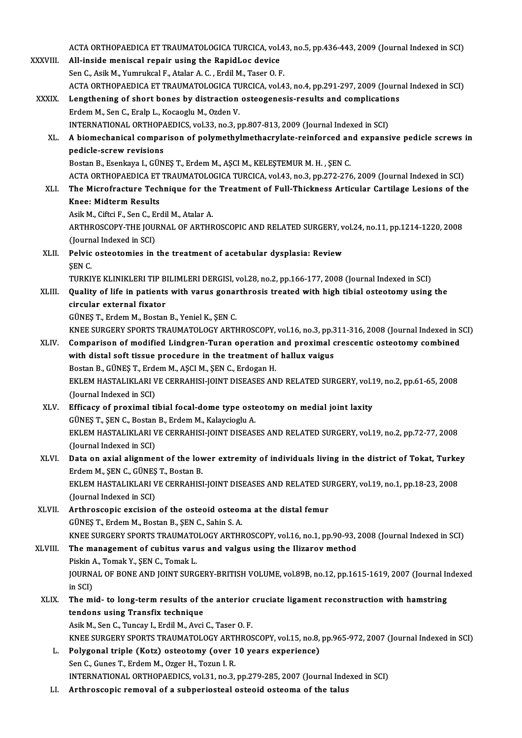|               | ACTA ORTHOPAEDICA ET TRAUMATOLOGICA TURCICA, vol.43, no.5, pp.436-443, 2009 (Journal Indexed in SCI)                              |
|---------------|-----------------------------------------------------------------------------------------------------------------------------------|
| XXXVIII.      | All-inside meniscal repair using the RapidLoc device                                                                              |
|               | Sen C., Asik M., Yumrukcal F., Atalar A. C., Erdil M., Taser O. F.                                                                |
|               | ACTA ORTHOPAEDICA ET TRAUMATOLOGICA TURCICA, vol.43, no.4, pp.291-297, 2009 (Journal Indexed in SCI)                              |
| <b>XXXIX</b>  | Lengthening of short bones by distraction osteogenesis-results and complications                                                  |
|               | Erdem M., Sen C., Eralp L., Kocaoglu M., Ozden V.                                                                                 |
|               | INTERNATIONAL ORTHOPAEDICS, vol.33, no.3, pp.807-813, 2009 (Journal Indexed in SCI)                                               |
| XL.           | A biomechanical comparison of polymethylmethacrylate-reinforced and expansive pedicle screws in<br>pedicle-screw revisions        |
|               | Bostan B., Esenkaya I., GÜNEŞ T., Erdem M., AŞCI M., KELEŞTEMUR M. H., ŞEN C.                                                     |
|               | ACTA ORTHOPAEDICA ET TRAUMATOLOGICA TURCICA, vol.43, no.3, pp.272-276, 2009 (Journal Indexed in SCI)                              |
| XLI.          | The Microfracture Technique for the Treatment of Full-Thickness Articular Cartilage Lesions of the                                |
|               | <b>Knee: Midterm Results</b>                                                                                                      |
|               | Asik M., Ciftci F., Sen C., Erdil M., Atalar A.                                                                                   |
|               | ARTHROSCOPY-THE JOURNAL OF ARTHROSCOPIC AND RELATED SURGERY, vol.24, no.11, pp.1214-1220, 2008                                    |
|               | (Journal Indexed in SCI)                                                                                                          |
| XLII.         | Pelvic osteotomies in the treatment of acetabular dysplasia: Review                                                               |
|               | ŞEN C.                                                                                                                            |
|               | TURKIYE KLINIKLERI TIP BILIMLERI DERGISI, vol.28, no.2, pp.166-177, 2008 (Journal Indexed in SCI)                                 |
| XLIII.        | Quality of life in patients with varus gonarthrosis treated with high tibial osteotomy using the                                  |
|               | circular external fixator                                                                                                         |
|               | GÜNEŞ T., Erdem M., Bostan B., Yeniel K., ŞEN C.                                                                                  |
|               | KNEE SURGERY SPORTS TRAUMATOLOGY ARTHROSCOPY, vol.16, no.3, pp.311-316, 2008 (Journal Indexed in SCI)                             |
| XLIV.         | Comparison of modified Lindgren-Turan operation and proximal crescentic osteotomy combined                                        |
|               | with distal soft tissue procedure in the treatment of hallux vaigus<br>Bostan B., GÜNEŞ T., Erdem M., AŞCI M., ŞEN C., Erdogan H. |
|               | EKLEM HASTALIKLARI VE CERRAHISI-JOINT DISEASES AND RELATED SURGERY, vol.19, no.2, pp.61-65, 2008                                  |
|               | (Journal Indexed in SCI)                                                                                                          |
|               | XLV. Efficacy of proximal tibial focal-dome type osteotomy on medial joint laxity                                                 |
|               | GÜNEŞ T., ŞEN C., Bostan B., Erdem M., Kalaycioglu A.                                                                             |
|               | EKLEM HASTALIKLARI VE CERRAHISI-JOINT DISEASES AND RELATED SURGERY, vol.19, no.2, pp.72-77, 2008                                  |
|               | (Journal Indexed in SCI)                                                                                                          |
| XLVI.         | Data on axial alignment of the lower extremity of individuals living in the district of Tokat, Turkey                             |
|               | Erdem M., ŞEN C., GÜNEŞ T., Bostan B.                                                                                             |
|               | EKLEM HASTALIKLARI VE CERRAHISI-JOINT DISEASES AND RELATED SURGERY, vol.19, no.1, pp.18-23, 2008                                  |
|               | (Journal Indexed in SCI)                                                                                                          |
| XLVII.        | Arthroscopic excision of the osteoid osteoma at the distal femur                                                                  |
|               | GÜNEŞ T., Erdem M., Bostan B., ŞEN C., Sahin S. A.                                                                                |
|               | KNEE SURGERY SPORTS TRAUMATOLOGY ARTHROSCOPY, vol.16, no.1, pp.90-93, 2008 (Journal Indexed in SCI)                               |
| <b>XLVIII</b> | The management of cubitus varus and valgus using the Ilizarov method                                                              |
|               | Piskin A., Tomak Y., ŞEN C., Tomak L.                                                                                             |
|               | JOURNAL OF BONE AND JOINT SURGERY-BRITISH VOLUME, vol.89B, no.12, pp.1615-1619, 2007 (Journal Indexed                             |
|               | in SCI)                                                                                                                           |
| XLIX.         | The mid- to long-term results of the anterior cruciate ligament reconstruction with hamstring                                     |
|               | tendons using Transfix technique                                                                                                  |
|               | Asik M., Sen C., Tuncay I., Erdil M., Avci C., Taser O. F.                                                                        |
|               | KNEE SURGERY SPORTS TRAUMATOLOGY ARTHROSCOPY, vol.15, no.8, pp.965-972, 2007 (Journal Indexed in SCI)                             |
| L.            | Polygonal triple (Kotz) osteotomy (over 10 years experience)                                                                      |
|               | Sen C., Gunes T., Erdem M., Ozger H., Tozun I. R.                                                                                 |
|               | INTERNATIONAL ORTHOPAEDICS, vol.31, no.3, pp.279-285, 2007 (Journal Indexed in SCI)                                               |
| LI.           | Arthroscopic removal of a subperiosteal osteoid osteoma of the talus                                                              |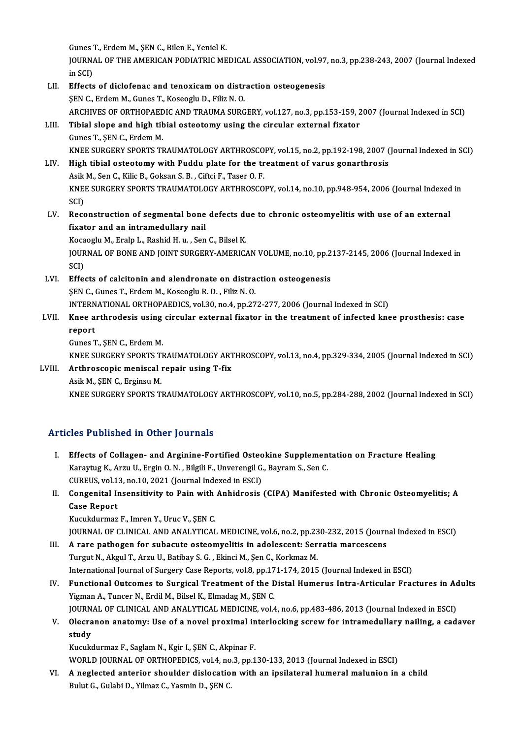GunesT.,ErdemM.,ŞENC.,BilenE.,YenielK.

Gunes T., Erdem M., ŞEN C., Bilen E., Yeniel K.<br>JOURNAL OF THE AMERICAN PODIATRIC MEDICAL ASSOCIATION, vol.97, no.3, pp.238-243, 2007 (Journal Indexed Gunes<br>JOURNA<br>in SCI)<br>Effects JOURNAL OF THE AMERICAN PODIATRIC MEDICAL ASSOCIATION, vol.97<br>in SCI)<br>LII. Effects of diclofenac and tenoxicam on distraction osteogenesis<br>SEN C. Erdom M. Cunes T. Kessocky D. Eiliz N. O.

## in SCI)<br>Effects of diclofenac and tenoxicam on distr<br>ŞEN C., Erdem M., Gunes T., Koseoglu D., Filiz N. O.<br>ARCHIVES OF ORTHORAEDIC AND TRAIMA SURC ŞEN C., Erdem M., Gunes T., Koseoglu D., Filiz N. O.<br>ARCHIVES OF ORTHOPAEDIC AND TRAUMA SURGERY, vol.127, no.3, pp.153-159, 2007 (Journal Indexed in SCI) SEN C., Erdem M., Gunes T., Koseoglu D., Filiz N. O.<br>ARCHIVES OF ORTHOPAEDIC AND TRAUMA SURGERY, vol.127, no.3, pp.153-159, 2<br>LIII. Tibial slope and high tibial osteotomy using the circular external fixator<br>Cunes T. SEN C.

## ARCHIVES OF ORTHOPAED<br>Tibial slope and high til<br>Gunes T., ŞEN C., Erdem M.<br>KNEE SUBCERY SPORTS TI Gunes T., ŞEN C., Erdem M.<br>KNEE SURGERY SPORTS TRAUMATOLOGY ARTHROSCOPY, vol.15, no.2, pp.192-198, 2007 (Journal Indexed in SCI) Gunes T., ŞEN C., Erdem M.<br>KNEE SURGERY SPORTS TRAUMATOLOGY ARTHROSCOPY, vol.15, no.2, pp.192-198, 2007 (<br>LIV. High tibial osteotomy with Puddu plate for the treatment of varus gonarthrosis<br>Asik M. Sen G. Kilie B. Goksan S

## KNEE SURGERY SPORTS TRAUMATOLOGY ARTHROSCO<br>High tibial osteotomy with Puddu plate for the tr<br>Asik M., Sen C., Kilic B., Goksan S. B. , Ciftci F., Taser O. F.<br>KNEE SURCERY SPORTS TRAUMATOLOGY ARTHROSCO High tibial osteotomy with Puddu plate for the treatment of varus gonarthrosis<br>Asik M., Sen C., Kilic B., Goksan S. B. , Ciftci F., Taser O. F.<br>KNEE SURGERY SPORTS TRAUMATOLOGY ARTHROSCOPY, vol.14, no.10, pp.948-954, 2006 Asik M., Sen C., Kilic B., Goksan S. B. , Ciftci F., Taser O. F.<br>KNEE SURGERY SPORTS TRAUMATOLOGY ARTHROSCOPY, vol.14, no.10, pp.948-954, 2006 (Journal Indexed in<br>SCI) KNEE SURGERY SPORTS TRAUMATOLOGY ARTHROSCOPY, vol.14, no.10, pp.948-954, 2006 (Journal Indexed<br>SCI)<br>LV. Reconstruction of segmental bone defects due to chronic osteomyelitis with use of an external<br>fivetor and an intramedu

SCI)<br>Reconstruction of segmental bone<br>fixator and an intramedullary nail<br>Kespesky M. Erela L. Beebid H.y., Sen Reconstruction of segmental bone defects di<br>fixator and an intramedullary nail<br>Kocaoglu M., Eralp L., Rashid H. u. , Sen C., Bilsel K.<br>JOUPMAL OF PONE AND JOINT SURCERY AMERIC.

fixator and an intramedullary nail<br>Kocaoglu M., Eralp L., Rashid H. u. , Sen C., Bilsel K.<br>JOURNAL OF BONE AND JOINT SURGERY-AMERICAN VOLUME, no.10, pp.2137-2145, 2006 (Journal Indexed in<br>SCD Koca<br>JOUR<br>SCI)<br>Effe JOURNAL OF BONE AND JOINT SURGERY-AMERICAN VOLUME, no.10, pp.2<br>SCI)<br>LVI. Effects of calcitonin and alendronate on distraction osteogenesis<br>SEN.C. Cunse T. Endom M. Kassagh, B. D. Eiliz N. O.

## SCI)<br>LVI. Effects of calcitonin and alendronate on distraction osteogenesis<br>ŞEN C., Gunes T., Erdem M., Koseoglu R. D. , Filiz N. O. Effects of calcitonin and alendronate on distraction osteogenesis<br>SEN C., Gunes T., Erdem M., Koseoglu R. D. , Filiz N. O.<br>INTERNATIONAL ORTHOPAEDICS, vol.30, no.4, pp.272-277, 2006 (Journal Indexed in SCI)<br>Knee erthrodesi

## SEN C., Gunes T., Erdem M., Koseoglu R. D. , Filiz N. O.<br>INTERNATIONAL ORTHOPAEDICS, vol.30, no.4, pp.272-277, 2006 (Journal Indexed in SCI)<br>LVII. Knee arthrodesis using circular external fixator in the treatment of in INTERN<br>Knee a<br>report Knee arthrodesis using<br>report<br>Gunes T., ŞEN C., Erdem M.<br>KNEE SUBCERY SPORTS TI report<br>Gunes T., ŞEN C., Erdem M.<br>KNEE SURGERY SPORTS TRAUMATOLOGY ARTHROSCOPY, vol.13, no.4, pp.329-334, 2005 (Journal Indexed in SCI)<br>Arthrosconis menissel repeir using T. fiv.

## Gunes T., ŞEN C., Erdem M.<br>KNEE SURGERY SPORTS TRAUMATOLOGY ART<br>LVIII. Arthroscopic meniscal repair using T-fix<br>Asik M., SEN C., Erginsu M. KNEE SURGERY SPORTS T.<br>Arthroscopic meniscal<br>Asik M., ŞEN C., Erginsu M.<br>KNEE SURCERY SPORTS T.

KNEE SURGERY SPORTS TRAUMATOLOGY ARTHROSCOPY, vol.10, no.5, pp.284-288, 2002 (Journal Indexed in SCI)

### Articles Published in Other Journals

- rticles Published in Other Journals<br>I. Effects of Collagen- and Arginine-Fortified Osteokine Supplementation on Fracture Healing<br>Kanaytya K. Argy II, Frain O. N., Bilgili E. Unyorongil G. Boyram S. Son G. XCS TUSHONCU IN CENCT JOUTHUIS<br>Effects of Collagen- and Arginine-Fortified Osteokine Supplemen<br>Karaytug K., Arzu U., Ergin O. N. , Bilgili F., Unverengil G., Bayram S., Sen C.<br>CUREUS XR113, no.10, 2021 (Journal Indoved in Effects of Collagen- and Arginine-Fortified Osteo<br>Karaytug K., Arzu U., Ergin O. N. , Bilgili F., Unverengil G.<br>CUREUS, vol.13, no.10, 2021 (Journal Indexed in ESCI)<br>Consenitel Inconsitivity to Boin with Anhidrosia Karaytug K., Arzu U., Ergin O. N. , Bilgili F., Unverengil G., Bayram S., Sen C.<br>CUREUS, vol.13, no.10, 2021 (Journal Indexed in ESCI)<br>II. Congenital Insensitivity to Pain with Anhidrosis (CIPA) Manifested with Chronic Ost
- CUREUS, vol.1<br>Congenital II<br>Case Report<br>Kusukdurmaz Congenital Insensitivity to Pain with<br>Case Report<br>Kucukdurmaz F., Imren Y., Uruc V., ŞEN C.<br>JOUPNAL OF CLINICAL AND ANALYTICAL Case Report<br>Kucukdurmaz F., Imren Y., Uruc V., ŞEN C.<br>JOURNAL OF CLINICAL AND ANALYTICAL MEDICINE, vol.6, no.2, pp.230-232, 2015 (Journal Indexed in ESCI)<br>A rare pathogen for subasute esteemyelitis in adelessent: Serratia

- Kucukdurmaz F., Imren Y., Uruc V., ŞEN C.<br>JOURNAL OF CLINICAL AND ANALYTICAL MEDICINE, vol.6, no.2, pp.230-232, 2015 (Journ<br>III. A rare pathogen for subacute osteomyelitis in adolescent: Serratia marcescens<br>Turgut N. Algul JOURNAL OF CLINICAL AND ANALYTICAL MEDICINE, vol.6, no.2, pp.23<br>A rare pathogen for subacute osteomyelitis in adolescent: Ser<br>Turgut N., Akgul T., Arzu U., Batibay S. G. , Ekinci M., Şen C., Korkmaz M.<br>International Journa A rare pathogen for subacute osteomyelitis in adolescent: Serratia marcescens<br>Turgut N., Akgul T., Arzu U., Batibay S. G. , Ekinci M., Şen C., Korkmaz M.<br>International Journal of Surgery Case Reports, vol.8, pp.171-174, 20
- Turgut N., Akgul T., Arzu U., Batibay S. G. , Ekinci M., Şen C., Korkmaz M.<br>International Journal of Surgery Case Reports, vol.8, pp.171-174, 2015 (Journal Indexed in ESCI)<br>IV. Functional Outcomes to Surgical Treatment of International Journal of Surgery Case Reports, vol.8, pp.17<br>Functional Outcomes to Surgical Treatment of the L<br>Yigman A., Tuncer N., Erdil M., Bilsel K., Elmadag M., ŞEN C.<br>JOUPNAL OF CLINICAL AND ANALYTICAL MEDICINE vol.4 Functional Outcomes to Surgical Treatment of the Distal Humerus Intra-Articular Fractures in Ad<br>Yigman A., Tuncer N., Erdil M., Bilsel K., Elmadag M., ŞEN C.<br>JOURNAL OF CLINICAL AND ANALYTICAL MEDICINE, vol.4, no.6, pp.483 Yigman A., Tuncer N., Erdil M., Bilsel K., Elmadag M., ŞEN C.<br>JOURNAL OF CLINICAL AND ANALYTICAL MEDICINE, vol.4, no.6, pp.483-486, 2013 (Journal Indexed in ESCI)<br>V. Olecranon anatomy: Use of a novel proximal interlock
- JOURN<br>Olecra<br>study<br>Kusuk Olecranon anatomy: Use of a novel proximal in<br>study<br>Kucukdurmaz F., Saglam N., Kgir I., ŞEN C., Akpinar F.<br>WORLD JOURNAL OF ORTHOPEDICS vol.4, no.3, nn.1

study<br>Kucukdurmaz F., Saglam N., Kgir I., ŞEN C., Akpinar F.<br>WORLD JOURNAL OF ORTHOPEDICS, vol.4, no.3, pp.130-133, 2013 (Journal Indexed in ESCI)

Kucukdurmaz F., Saglam N., Kgir I., ŞEN C., Akpinar F.<br>WORLD JOURNAL OF ORTHOPEDICS, vol.4, no.3, pp.130-133, 2013 (Journal Indexed in ESCI)<br>VI. A neglected anterior shoulder dislocation with an ipsilateral humeral malunio WORLD JOURNAL OF ORTHOPEDICS, vol.4, no<br><mark>A neglected anterior shoulder dislocatio</mark><br>Bulut G., Gulabi D., Yilmaz C., Yasmin D., ŞEN C.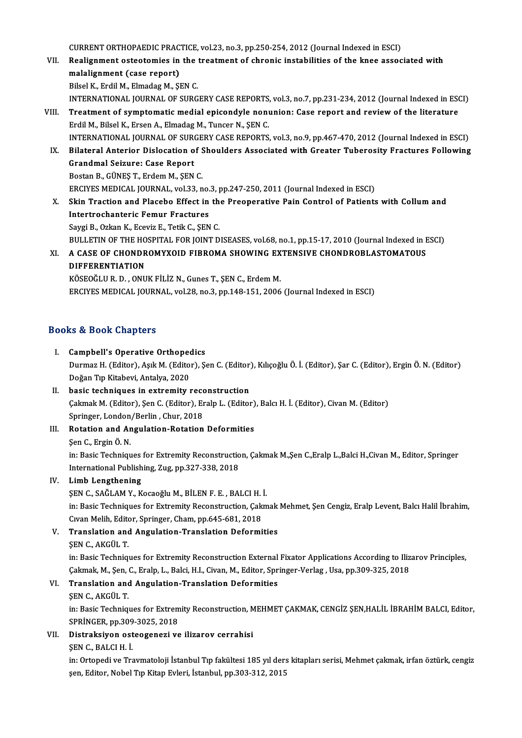CURRENT ORTHOPAEDIC PRACTICE, vol.23, no.3, pp.250-254, 2012 (Journal Indexed in ESCI)<br>Pealignment estectomics in the treatment of chronic instabilities of the knee assess

- CURRENT ORTHOPAEDIC PRACTICE, vol.23, no.3, pp.250-254, 2012 (Journal Indexed in ESCI)<br>VII. Realignment osteotomies in the treatment of chronic instabilities of the knee associated with CURRENT ORTHOPAEDIC PRACT<br>Realignment osteotomies in<br>malalignment (case report) Realignment osteotomies in the<br>malalignment (case report)<br>Bilsel K., Erdil M., Elmadag M., ŞEN C.<br>INTERNATIONAL JOURNAL OF SURC. malalignment (case report)<br>Bilsel K., Erdil M., Elmadag M., ŞEN C.<br>INTERNATIONAL JOURNAL OF SURGERY CASE REPORTS, vol.3, no.7, pp.231-234, 2012 (Journal Indexed in ESCI)<br>Treatment of symptomatic modial enisondyle nonunion: Bilsel K., Erdil M., Elmadag M., ŞEN C.<br>INTERNATIONAL JOURNAL OF SURGERY CASE REPORTS, vol.3, no.7, pp.231-234, 2012 (Journal Indexed in ESONIL<br>VIII. Treatment of symptomatic medial epicondyle nonunion: Case report and rev
- INTERNATIONAL JOURNAL OF SURGERY CASE REPORTS<br>Treatment of symptomatic medial epicondyle non<br>Erdil M., Bilsel K., Ersen A., Elmadag M., Tuncer N., ŞEN C.<br>INTERNATIONAL JOURNAL OF SURCERY CASE REPORTS Treatment of symptomatic medial epicondyle nonunion: Case report and review of the literature<br>Erdil M., Bilsel K., Ersen A., Elmadag M., Tuncer N., ŞEN C.<br>INTERNATIONAL JOURNAL OF SURGERY CASE REPORTS, vol.3, no.9, pp.467-Erdil M., Bilsel K., Ersen A., Elmadag M., Tuncer N., ŞEN C.<br>INTERNATIONAL JOURNAL OF SURGERY CASE REPORTS, vol.3, no.9, pp.467-470, 2012 (Journal Indexed in ESCI)<br>IX. Bilateral Anterior Dislocation of Shoulders Associated
- Grandmal Seizure: Case Report BostanB.,GÜNEŞT.,ErdemM.,ŞENC. ERCIYESMEDICAL JOURNAL,vol.33,no.3,pp.247-250,2011 (Journal Indexed inESCI) Bostan B., GÜNEŞ T., Erdem M., ŞEN C.<br>ERCIYES MEDICAL JOURNAL, vol.33, no.3, pp.247-250, 2011 (Journal Indexed in ESCI)<br>X. Skin Traction and Placebo Effect in the Preoperative Pain Control of Patients with Collum and<br>Inter
- ERCIYES MEDICAL JOURNAL, vol.33, no.<br>Skin Traction and Placebo Effect in<br>Intertrochanteric Femur Fractures Intertrochanteric Femur Fractures<br>Saygi B., Ozkan K., Eceviz E., Tetik C., SEN C. Intertrochanteric Femur Fractures<br>Saygi B., Ozkan K., Eceviz E., Tetik C., ŞEN C.<br>BULLETIN OF THE HOSPITAL FOR JOINT DISEASES, vol.68, no.1, pp.15-17, 2010 (Journal Indexed in ESCI)<br>A GASE OF GHONDROMYYOUD EIRROMA SHOWING Saygi B., Ozkan K., Eceviz E., Tetik C., ŞEN C.<br>BULLETIN OF THE HOSPITAL FOR JOINT DISEASES, vol.68, no.1, pp.15-17, 2010 (Journal Indexed in F<br>XI. A CASE OF CHONDROMYXOID FIBROMA SHOWING EXTENSIVE CHONDROBLASTOMATOUS<br>
- BULLETIN OF THE HO<br>A CASE OF CHONDR<br>DIFFERENTIATION A CASE OF CHONDROMYXOID FIBROMA SHOWING EX<br>DIFFERENTIATION<br>KÖSEOĞLUR. D. , ONUK FİLİZ N., Gunes T., ŞEN C., Erdem M.<br>ERCIVES MEDICAL JOURNAL .val 29. no 2. nn 148.151.2006 DIFFERENTIATION<br>KÖSEOĞLU R. D. , ONUK FİLİZ N., Gunes T., ŞEN C., Erdem M.<br>ERCIYES MEDICAL JOURNAL, vol.28, no.3, pp.148-151, 2006 (Journal Indexed in ESCI)

#### Books&Book Chapters

I. Campbell's Operative Orthopedics to & Boon emapters<br>Campbell's Operative Orthopedics<br>Durmaz H. (Editor), Aşık M. (Editor), Şen C. (Editor), Kılıçoğlu Ö. İ. (Editor), Şar C. (Editor), Ergin Ö. N. (Editor) Campbell's Operative Orthope<br>Durmaz H. (Editor), Aşık M. (Edito<br>Doğan Tıp Kitabevi, Antalya, 2020<br>bogia tashniques in extremitu ı Durmaz H. (Editor), Aşık M. (Editor), Şen C. (Editor)<br>Doğan Tıp Kitabevi, Antalya, 2020<br>II. basic techniques in extremity reconstruction<br>Colmok M. (Editor), Sen C. (Editor), Eralp J. (Editor

- Doğan Tıp Kitabevi, Antalya, 2020<br>II. basic techniques in extremity reconstruction<br>Çakmak M. (Editor), Şen C. (Editor), Eralp L. (Editor), Balcı H. İ. (Editor), Civan M. (Editor) basic techniques in extremity recc<br>Cakmak M. (Editor), Şen C. (Editor), Er<br>Springer, London/Berlin , Chur, 2018<br>Botation and Angulation Botation
- III. Rotation and Angulation-Rotation Deformities<br>Sen C., Ergin Ö. N. Springer, London<br>Rotation and Ar<br>Şen C., Ergin Ö. N.<br>in: Posis Teshnisu Rotation and Angulation-Rotation Deformities<br>Şen C., Ergin Ö. N.<br>in: Basic Techniques for Extremity Reconstruction, Çakmak M.,Şen C.,Eralp L.,Balci H.,Civan M., Editor, Springer<br>International Bublishing Zug np 227 228 2018

Şen C., Ergin Ö. N.<br>in: Basic Techniques for Extremity Reconstructio<br>International Publishing, Zug, pp.327-338, 2018<br>Limb Lengthening International Publishing, Zug, pp.327-338, 2018<br>IV. Limb Lengthening

International Publishing, Zug, pp.327-338, 2018<br>Limb Lengthening<br>ŞEN C., SAĞLAM Y., Kocaoğlu M., BİLEN F. E. , BALCI H. İ.<br>in: Basis Techniques for Extremity Besenstrustion, Calm in: Basic Techniques for Extremity Reconstruction, Çakmak Mehmet, Şen Cengiz, Eralp Levent, Balcı Halil İbrahim,<br>Cıvan Melih, Editor, Springer, Cham, pp.645-681, 2018 ŞEN C., SAĞLAM Y., Kocaoğlu M., BİLEN F. E. , BALCI H.<br>in: Basic Techniques for Extremity Reconstruction, Çak<br>Cıvan Melih, Editor, Springer, Cham, pp.645-681, 2018<br>Translation and Angulation Translation Deformi in: Basic Techniques for Extremity Reconstruction, Çakmak<br>Cıvan Melih, Editor, Springer, Cham, pp.645-681, 2018<br>V. Translation and Angulation-Translation Deformities<br>SEN.C. AKCÜLT

Civan Melih, Edito<br>Translation and<br>ŞEN C., AKGÜL T.<br>in: Pasis Technisu Translation and Angulation-Translation Deformities<br>ŞEN C., AKGÜL T.<br>in: Basic Techniques for Extremity Reconstruction External Fixator Applications According to Ilizarov Principles,<br>Calmak M. San C. Eraln J., Balsi H.J. Gi

ŞEN C., AKGÜL T.<br>in: Basic Techniques for Extremity Reconstruction External Fixator Applications According to Iliz<br>Çakmak, M., Şen, C., Eralp, L., Balci, H.I., Civan, M., Editor, Springer-Verlag , Usa, pp.309-325, 2018<br>Tra Çakmak, M., Şen, C., Eralp, L., Balci, H.I., Civan, M., Editor, Springer-Verlag, Usa, pp.309-325, 2018

## VI. Translation and Angulation-Translation Deformities

Translation and Angulation-Translation Deformities<br>ŞEN C., AKGÜL T.<br>in: Basic Techniques for Extremity Reconstruction, MEHMET ÇAKMAK, CENGİZ ŞEN,HALİL İBRAHİM BALCI, Editor,<br>SPRİNCER, pp.200.2025.2019 ŞEN C., AKGÜL T.<br>in: Basic Techniques for Extrem<br>SPRİNGER, pp.309-3025, 2018<br>Distraksivan estesseneri ve in: Basic Techniques for Extremity Reconstruction, M<br>SPRINGER, pp.309-3025, 2018<br>VII. Distraksiyon osteogenezi ve ilizarov cerrahisi<br>SEN C PALCLH İ SPRİNGER, pp.309<br>Distraksiyon ost<br>ŞEN C., BALCI H. İ.<br>in: Ortonedi ve Tre

ŞEN C., BALCI H. İ.<br>in: Ortopedi ve Travmatoloji İstanbul Tıp fakültesi 185 yıl ders kitapları serisi, Mehmet çakmak, irfan öztürk, cengiz şen, Editor, Nobel Tıp Kitap Evleri, İstanbul, pp.303-312, 2015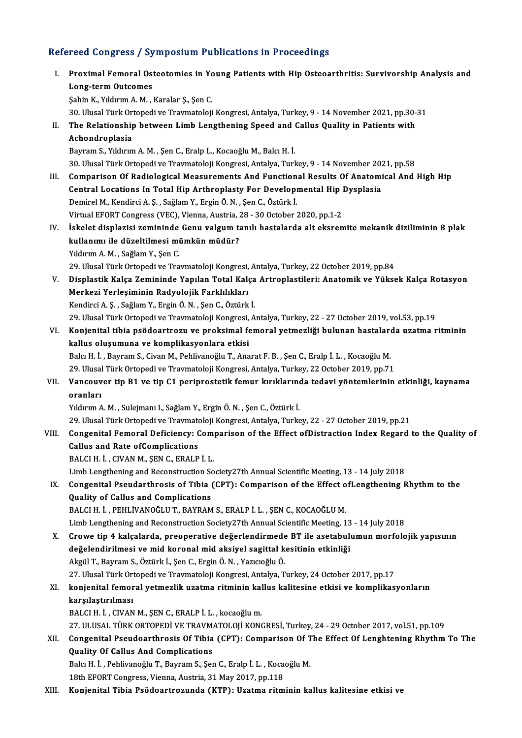# Refereed Congress / Symposium Publications in Proceedings<br>Refereed Congress / Symposium Publications in Proceedings

|       | Refereed Congress / Symposium Publications in Proceedings                                                       |
|-------|-----------------------------------------------------------------------------------------------------------------|
| L.    | Proximal Femoral Osteotomies in Young Patients with Hip Osteoarthritis: Survivorship Analysis and               |
|       | <b>Long-term Outcomes</b>                                                                                       |
|       | Şahin K., Yıldırım A. M., Karalar Ş., Şen C.                                                                    |
|       | 30. Ulusal Türk Ortopedi ve Travmatoloji Kongresi, Antalya, Turkey, 9 - 14 November 2021, pp.30-31              |
| П.    | The Relationship between Limb Lengthening Speed and Callus Quality in Patients with                             |
|       | Achondroplasia                                                                                                  |
|       | Bayram S., Yıldırım A. M., Şen C., Eralp L., Kocaoğlu M., Balcı H. İ.                                           |
|       | 30. Ulusal Türk Ortopedi ve Travmatoloji Kongresi, Antalya, Turkey, 9 - 14 November 2021, pp.58                 |
| III.  | Comparison Of Radiological Measurements And Functional Results Of Anatomical And High Hip                       |
|       | Central Locations In Total Hip Arthroplasty For Developmental Hip Dysplasia                                     |
|       | Demirel M., Kendirci A. Ş., Sağlam Y., Ergin Ö. N., Şen C., Öztürk İ.                                           |
|       | Virtual EFORT Congress (VEC), Vienna, Austria, 28 - 30 October 2020, pp.1-2                                     |
| IV.   | İskelet displazisi zemininde Genu valgum tanılı hastalarda alt eksremite mekanik diziliminin 8 plak             |
|       | kullanımı ile düzeltilmesi mümkün müdür?                                                                        |
|       | Yıldırım A. M., Sağlam Y., Şen C.                                                                               |
|       | 29. Ulusal Türk Ortopedi ve Travmatoloji Kongresi, Antalya, Turkey, 22 October 2019, pp.84                      |
| V.    | Displastik Kalça Zemininde Yapılan Total Kalça Artroplastileri: Anatomik ve Yüksek Kalça Rotasyon               |
|       | Merkezi Yerleşiminin Radyolojik Farklılıkları                                                                   |
|       | Kendirci A. Ş., Sağlam Y., Ergin Ö. N., Şen C., Öztürk İ.                                                       |
|       | 29. Ulusal Türk Ortopedi ve Travmatoloji Kongresi, Antalya, Turkey, 22 - 27 October 2019, vol.53, pp.19         |
| VI.   | Konjenital tibia psödoartrozu ve proksimal femoral yetmezliği bulunan hastalarda uzatma ritminin                |
|       | kallus oluşumuna ve komplikasyonlara etkisi                                                                     |
|       | Balcı H. İ., Bayram S., Civan M., Pehlivanoğlu T., Anarat F. B., Şen C., Eralp İ. L., Kocaoğlu M.               |
|       | 29. Ulusal Türk Ortopedi ve Travmatoloji Kongresi, Antalya, Turkey, 22 October 2019, pp.71                      |
| VII.  | Vancouver tip B1 ve tip C1 periprostetik femur kırıklarında tedavi yöntemlerinin etkinliği, kaynama<br>oranları |
|       | Yıldırım A. M., Sulejmanı I., Sağlam Y., Ergin Ö. N., Şen C., Öztürk İ.                                         |
|       | 29. Ulusal Türk Ortopedi ve Travmatoloji Kongresi, Antalya, Turkey, 22 - 27 October 2019, pp.21                 |
|       | VIII.    Congenital Femoral Deficiency: Comparison of the Effect ofDistraction Index Regard to the Quality of   |
|       | Callus and Rate of Complications                                                                                |
|       | BALCI H. İ., CIVAN M., ŞEN C., ERALP İ. L.                                                                      |
|       | Limb Lengthening and Reconstruction Society27th Annual Scientific Meeting, 13 - 14 July 2018                    |
| IX.   | Congenital Pseudarthrosis of Tibia (CPT): Comparison of the Effect of Lengthening Rhythm to the                 |
|       | Quality of Callus and Complications                                                                             |
|       | BALCI H. İ., PEHLİVANOĞLU T., BAYRAM S., ERALP İ. L., ŞEN C., KOCAOĞLU M.                                       |
|       | Limb Lengthening and Reconstruction Society27th Annual Scientific Meeting, 13 - 14 July 2018                    |
| X.    | Crowe tip 4 kalçalarda, preoperative değerlendirmede BT ile asetabulumun morfolojik yapısının                   |
|       | değelendirilmesi ve mid koronal mid aksiyel sagittal kesitinin etkinliği                                        |
|       | Akgül T., Bayram S., Öztürk İ., Şen C., Ergin Ö. N., Yazıcıoğlu Ö.                                              |
|       | 27. Ulusal Türk Ortopedi ve Travmatoloji Kongresi, Antalya, Turkey, 24 October 2017, pp.17                      |
| XI.   | konjenital femoral yetmezlik uzatma ritminin kallus kalitesine etkisi ve komplikasyonların                      |
|       | karşılaştırılması                                                                                               |
|       | BALCI H. İ., CIVAN M., ŞEN C., ERALP İ. L., kocaoğlu m.                                                         |
|       | 27. ULUSAL TÜRK ORTOPEDİ VE TRAVMATOLOJİ KONGRESİ, Turkey, 24 - 29 October 2017, vol.51, pp.109                 |
| XII.  | Congenital Pseudoarthrosis Of Tibia (CPT): Comparison Of The Effect Of Lenghtening Rhythm To The                |
|       | Quality Of Callus And Complications                                                                             |
|       | Balcı H. İ., Pehlivanoğlu T., Bayram S., Şen C., Eralp İ. L., Kocaoğlu M.                                       |
|       | 18th EFORT Congress, Vienna, Austria, 31 May 2017, pp.118                                                       |
| XIII. | Konjenital Tibia Psödoartrozunda (KTP): Uzatma ritminin kallus kalitesine etkisi ve                             |
|       |                                                                                                                 |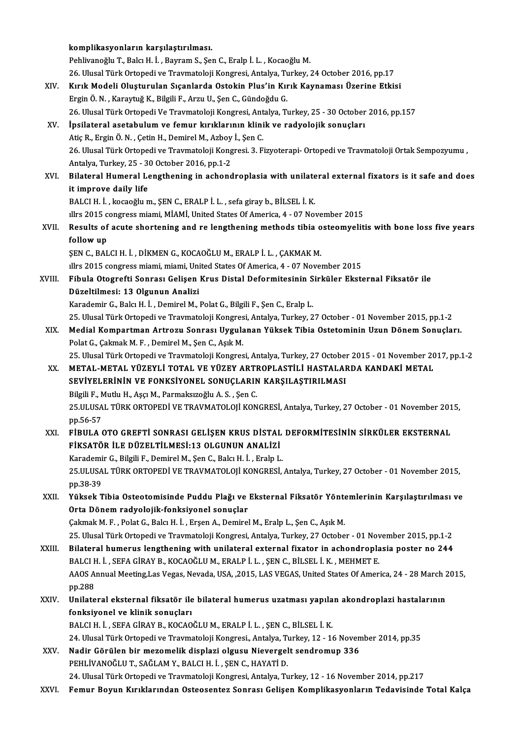|        | komplikasyonların karşılaştırılması.                                                                              |
|--------|-------------------------------------------------------------------------------------------------------------------|
|        | Pehlivanoğlu T., Balcı H. İ., Bayram S., Şen C., Eralp İ. L., Kocaoğlu M.                                         |
|        | 26. Ulusal Türk Ortopedi ve Travmatoloji Kongresi, Antalya, Turkey, 24 October 2016, pp.17                        |
| XIV.   | Kırık Modeli Oluşturulan Sıçanlarda Ostokin Plus'in Kırık Kaynaması Üzerine Etkisi                                |
|        | Ergin Ö. N., Karaytuğ K., Bilgili F., Arzu U., Şen C., Gündoğdu G.                                                |
|        | 26. Ulusal Türk Ortopedi Ve Travmatoloji Kongresi, Antalya, Turkey, 25 - 30 October 2016, pp.157                  |
| XV.    | İpsilateral asetabulum ve femur kırıklarının klinik ve radyolojik sonuçları                                       |
|        | Atiç R., Ergin Ö. N., Çetin H., Demirel M., Azboy İ., Şen C.                                                      |
|        | 26. Ulusal Türk Ortopedi ve Travmatoloji Kongresi. 3. Fizyoterapi- Ortopedi ve Travmatoloji Ortak Sempozyumu,     |
|        | Antalya, Turkey, 25 - 30 October 2016, pp 1-2                                                                     |
| XVI.   | Bilateral Humeral Lengthening in achondroplasia with unilateral external fixators is it safe and does             |
|        | it improve daily life                                                                                             |
|        | BALCI H. İ., kocaoğlu m., ŞEN C., ERALP İ. L., sefa giray b., BİLSEL İ. K.                                        |
|        | Illrs 2015 congress miami, MİAMİ, United States Of America, 4 - 07 November 2015                                  |
| XVII.  |                                                                                                                   |
|        | Results of acute shortening and re lengthening methods tibia osteomyelitis with bone loss five years<br>follow up |
|        | ŞEN C., BALCI H. İ., DİKMEN G., KOCAOĞLU M., ERALP İ. L., ÇAKMAK M.                                               |
|        | Illrs 2015 congress miami, miami, United States Of America, 4 - 07 November 2015                                  |
| XVIII. | Fibula Otogrefti Sonrası Gelişen Krus Distal Deformitesinin Sirküler Eksternal Fiksatör ile                       |
|        | Düzeltilmesi: 13 Olgunun Analizi                                                                                  |
|        | Karademir G., Balcı H. İ., Demirel M., Polat G., Bilgili F., Şen C., Eralp L.                                     |
|        | 25. Ulusal Türk Ortopedi ve Travmatoloji Kongresi, Antalya, Turkey, 27 October - 01 November 2015, pp.1-2         |
| XIX.   | Medial Kompartman Artrozu Sonrası Uygulanan Yüksek Tibia Ostetominin Uzun Dönem Sonuçları.                        |
|        | Polat G., Çakmak M. F., Demirel M., Şen C., Aşık M.                                                               |
|        | 25. Ulusal Türk Ortopedi ve Travmatoloji Kongresi, Antalya, Turkey, 27 October 2015 - 01 November 2017, pp.1-2    |
| XX.    | METAL-METAL YÜZEYLİ TOTAL VE YÜZEY ARTROPLASTİLİ HASTALARDA KANDAKİ METAL                                         |
|        | SEVİYELERİNİN VE FONKSİYONEL SONUÇLARIN KARŞILAŞTIRILMASI                                                         |
|        | Bilgili F., Mutlu H., Aşçı M., Parmaksızoğlu A. S., Şen C.                                                        |
|        | 25.ULUSAL TÜRK ORTOPEDİ VE TRAVMATOLOJİ KONGRESİ, Antalya, Turkey, 27 October - 01 November 2015,                 |
|        | pp 56-57                                                                                                          |
| XXI.   | FİBULA OTO GREFTİ SONRASI GELİŞEN KRUS DİSTAL DEFORMİTESİNİN SİRKÜLER EKSTERNAL                                   |
|        | FİKSATÖR İLE DÜZELTİLMESİ:13 OLGUNUN ANALİZİ                                                                      |
|        | Karademir G., Bilgili F., Demirel M., Şen C., Balcı H. İ., Eralp L.                                               |
|        | 25.ULUSAL TÜRK ORTOPEDİ VE TRAVMATOLOJİ KONGRESİ, Antalya, Turkey, 27 October - 01 November 2015,                 |
|        | pp.38-39                                                                                                          |
| XXII.  | Yüksek Tibia Osteotomisinde Puddu Plağı ve Eksternal Fiksatör Yöntemlerinin Karşılaştırılması ve                  |
|        | Orta Dönem radyolojik-fonksiyonel sonuçlar                                                                        |
|        | Çakmak M. F., Polat G., Balcı H. İ., Erşen A., Demirel M., Eralp L., Şen C., Aşık M.                              |
|        | 25. Ulusal Türk Ortopedi ve Travmatoloji Kongresi, Antalya, Turkey, 27 October - 01 November 2015, pp.1-2         |
| XXIII. | Bilateral humerus lengthening with unilateral external fixator in achondroplasia poster no 244                    |
|        | BALCI H. İ., SEFA GİRAY B., KOCAOĞLU M., ERALP İ. L., ŞEN C., BİLSEL İ. K., MEHMET E.                             |
|        | AAOS Annual Meeting, Las Vegas, Nevada, USA, , 2015, LAS VEGAS, United States Of America, 24 - 28 March 2015,     |
|        | pp.288                                                                                                            |
| XXIV.  | Unilateral eksternal fiksatör ile bilateral humerus uzatması yapılan akondroplazi hastalarının                    |
|        | fonksiyonel ve klinik sonuçları                                                                                   |
|        | BALCI H. İ., SEFA GİRAY B., KOCAOĞLU M., ERALP İ. L., ŞEN C., BİLSEL İ. K.                                        |
|        | 24. Ulusal Türk Ortopedi ve Travmatoloji Kongresi., Antalya, Turkey, 12 - 16 November 2014, pp.35                 |
| XXV.   | Nadir Görülen bir mezomelik displazi olgusu Nievergelt sendromup 336                                              |
|        | PEHLIVANOĞLU T., SAĞLAM Y., BALCI H. İ., ŞEN C., HAYATİ D.                                                        |
|        | 24. Ulusal Türk Ortopedi ve Travmatoloji Kongresi, Antalya, Turkey, 12 - 16 November 2014, pp.217                 |
| XXVI.  | Femur Boyun Kırıklarından Osteosentez Sonrası Gelişen Komplikasyonların Tedavisinde Total Kalça                   |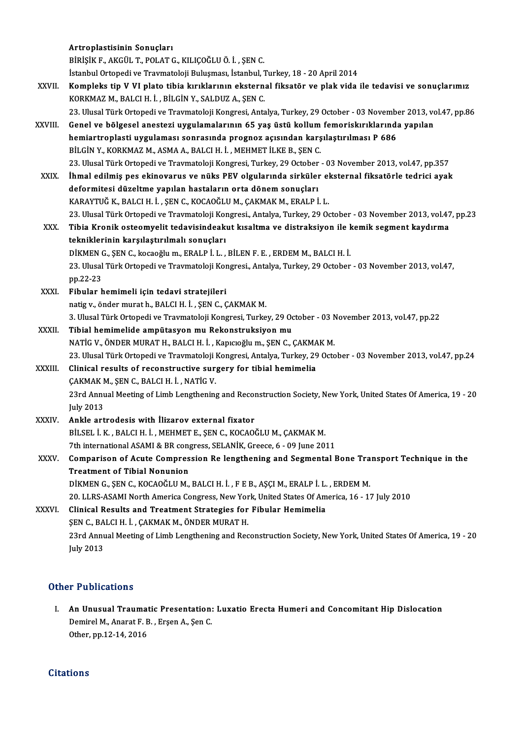|             | Artroplastisinin Sonuçları                                                                                                                                       |
|-------------|------------------------------------------------------------------------------------------------------------------------------------------------------------------|
|             | BİRİŞİK F., AKGÜL T., POLAT G., KILIÇOĞLU Ö. İ., ŞEN C.                                                                                                          |
|             | İstanbul Ortopedi ve Travmatoloji Buluşması, İstanbul, Turkey, 18 - 20 April 2014                                                                                |
| XXVII.      | Kompleks tip V VI plato tibia kırıklarının eksternal fiksatör ve plak vida ile tedavisi ve sonuçlarımız<br>KORKMAZ M., BALCI H. İ., BİLGİN Y., SALDUZ A., ŞEN C. |
|             | 23. Ulusal Türk Ortopedi ve Travmatoloji Kongresi, Antalya, Turkey, 29 October - 03 November 2013, vol.47, pp.86                                                 |
| XXVIII.     | Genel ve bölgesel anestezi uygulamalarının 65 yaş üstü kollum femoriskırıklarında yapılan                                                                        |
|             | hemiartroplasti uygulaması sonrasında prognoz açısından karşılaştırılması P 686<br>BİLGİN Y., KORKMAZ M., ASMA A., BALCI H. İ., MEHMET İLKE B., ŞEN C.           |
|             | 23. Ulusal Türk Ortopedi ve Travmatoloji Kongresi, Turkey, 29 October - 03 November 2013, vol.47, pp.357                                                         |
| XXIX.       | İhmal edilmiş pes ekinovarus ve nüks PEV olgularında sirküler eksternal fiksatörle tedrici ayak                                                                  |
|             | deformitesi düzeltme yapılan hastaların orta dönem sonuçları                                                                                                     |
|             | KARAYTUĞ K., BALCI H. İ., ŞEN C., KOCAOĞLU M., ÇAKMAK M., ERALP İ. L.                                                                                            |
|             | 23. Ulusal Türk Ortopedi ve Travmatoloji Kongresi., Antalya, Turkey, 29 October - 03 November 2013, vol.47, pp.23                                                |
| XXX.        | Tibia Kronik osteomyelit tedavisindeakut kısaltma ve distraksiyon ile kemik segment kaydırma                                                                     |
|             | tekniklerinin karşılaştırılmalı sonuçları                                                                                                                        |
|             | DİKMEN G., ŞEN C., kocaoğlu m., ERALP İ. L., BİLEN F. E., ERDEM M., BALCI H. İ.                                                                                  |
|             | 23. Ulusal Türk Ortopedi ve Travmatoloji Kongresi., Antalya, Turkey, 29 October - 03 November 2013, vol.47,                                                      |
|             | pp 22-23                                                                                                                                                         |
| XXXI.       | Fibular hemimeli için tedavi stratejileri                                                                                                                        |
|             | natig v., önder murat h., BALCI H. İ., ŞEN C., ÇAKMAK M.                                                                                                         |
| XXXII.      | 3. Ulusal Türk Ortopedi ve Travmatoloji Kongresi, Turkey, 29 October - 03 November 2013, vol.47, pp.22                                                           |
|             | Tibial hemimelide ampütasyon mu Rekonstruksiyon mu<br>NATİG V., ÖNDER MURAT H., BALCI H. İ., Kapıcıoğlu m., ŞEN C., ÇAKMAK M.                                    |
|             | 23. Ulusal Türk Ortopedi ve Travmatoloji Kongresi, Antalya, Turkey, 29 October - 03 November 2013, vol.47, pp.24                                                 |
| XXXIII.     | Clinical results of reconstructive surgery for tibial hemimelia                                                                                                  |
|             | ÇAKMAK M., ŞEN C., BALCI H. İ., NATİG V.                                                                                                                         |
|             | 23rd Annual Meeting of Limb Lengthening and Reconstruction Society, New York, United States Of America, 19 - 20                                                  |
|             | July 2013                                                                                                                                                        |
| XXXIV.      | Ankle artrodesis with Ilizarov external fixator                                                                                                                  |
|             | BİLSEL İ. K., BALCI H. İ., MEHMET E., ŞEN C., KOCAOĞLU M., ÇAKMAK M.                                                                                             |
|             | 7th international ASAMI & BR congress, SELANİK, Greece, 6 - 09 June 2011                                                                                         |
| <b>XXXV</b> | Comparison of Acute Compression Re lengthening and Segmental Bone Transport Technique in the                                                                     |
|             | <b>Treatment of Tibial Nonunion</b>                                                                                                                              |
|             | DİKMEN G., ŞEN C., KOCAOĞLU M., BALCI H. İ., F E B., AŞÇI M., ERALP İ. L., ERDEM M.                                                                              |
|             | 20. LLRS-ASAMI North America Congress, New York, United States Of America, 16 - 17 July 2010                                                                     |
| XXXVI.      | Clinical Results and Treatment Strategies for Fibular Hemimelia                                                                                                  |
|             | ŞEN C., BALCI H. İ., ÇAKMAK M., ÖNDER MURAT H.                                                                                                                   |
|             | 23rd Annual Meeting of Limb Lengthening and Reconstruction Society, New York, United States Of America, 19 - 20<br><b>July 2013</b>                              |
|             |                                                                                                                                                                  |

#### Other Publications

I. An Unusual Traumatic Presentation: Luxatio Erecta Humeri and Concomitant Hip Dislocation An Unusual Traumatic Presentation:<br>Demirel M., Anarat F. B. , Erşen A., Şen C.<br>Other nn 12 14 2016 An Unusual Traumat<br>Demirel M., Anarat F. B<br>Other, pp.12-14, 2016 Other, pp.12-14, 2016<br>Citations